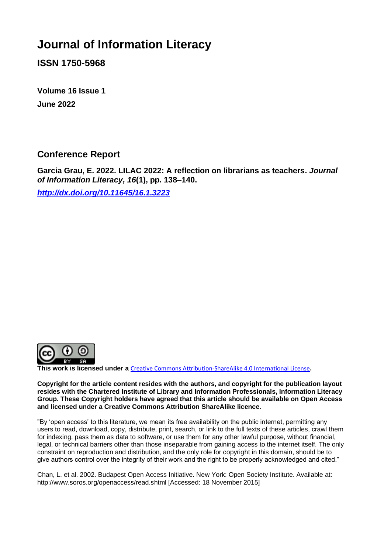## **Journal of Information Literacy**

**ISSN 1750-5968**

**Volume 16 Issue 1 June 2022**

## **Conference Report**

**Garcia Grau, E. 2022. LILAC 2022: A reflection on librarians as teachers.** *Journal of Information Literacy, 16***(1), pp. 138–140.**

*<http://dx.doi.org/10.11645/16.1.3223>*



**This work is licensed under a** [Creative Commons Attribution-ShareAlike 4.0 International License](http://creativecommons.org/licenses/by-sa/4.0/)**.**

**Copyright for the article content resides with the authors, and copyright for the publication layout resides with the Chartered Institute of Library and Information Professionals, Information Literacy Group. These Copyright holders have agreed that this article should be available on Open Access and licensed under a Creative Commons Attribution ShareAlike licence**.

"By 'open access' to this literature, we mean its free availability on the public internet, permitting any users to read, download, copy, distribute, print, search, or link to the full texts of these articles, crawl them for indexing, pass them as data to software, or use them for any other lawful purpose, without financial, legal, or technical barriers other than those inseparable from gaining access to the internet itself. The only constraint on reproduction and distribution, and the only role for copyright in this domain, should be to give authors control over the integrity of their work and the right to be properly acknowledged and cited."

Chan, L. et al. 2002. Budapest Open Access Initiative. New York: Open Society Institute. Available at: http://www.soros.org/openaccess/read.shtml [Accessed: 18 November 2015]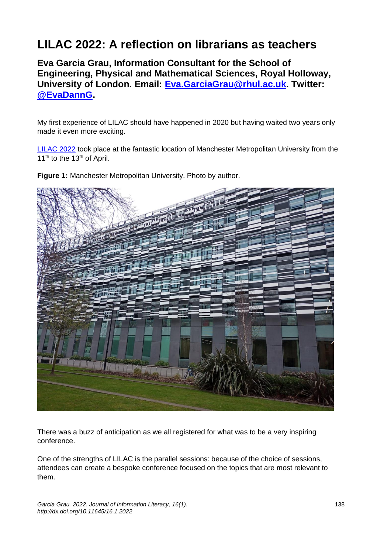## **LILAC 2022: A reflection on librarians as teachers**

**Eva Garcia Grau, Information Consultant for the School of Engineering, Physical and Mathematical Sciences, Royal Holloway, University of London. Email: [Eva.GarciaGrau@rhul.ac.uk.](mailto:Eva.GarciaGrau@rhul.ac.uk) Twitter: [@EvaDannG.](https://mobile.twitter.com/evadanng)**

My first experience of LILAC should have happened in 2020 but having waited two years only made it even more exciting.

[LILAC 2022](https://www.lilacconference.com/lilac-2022) took place at the fantastic location of Manchester Metropolitan University from the  $11<sup>th</sup>$  to the 13<sup>th</sup> of April.

**Figure 1:** Manchester Metropolitan University. Photo by author.



There was a buzz of anticipation as we all registered for what was to be a very inspiring conference.

One of the strengths of LILAC is the parallel sessions: because of the choice of sessions, attendees can create a bespoke conference focused on the topics that are most relevant to them.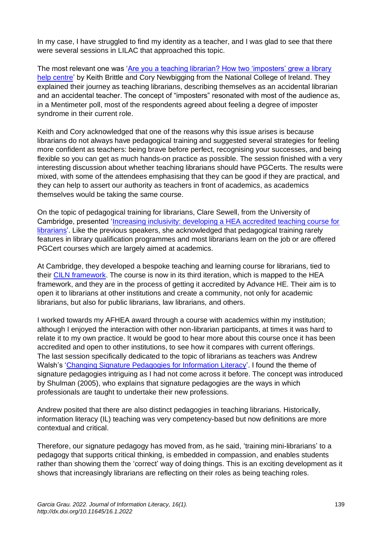In my case, I have struggled to find my identity as a teacher, and I was glad to see that there were several sessions in LILAC that approached this topic.

The most relevant one was ['Are you a teaching librarian? How two 'imposters' grew a library](https://www.slideshare.net/infolit_group/are-you-a-teaching-librarian-how-two-imposters-grew-a-library-help-centre-keith-brittle-cory-newbigging-251669048)  [help centre'](https://www.slideshare.net/infolit_group/are-you-a-teaching-librarian-how-two-imposters-grew-a-library-help-centre-keith-brittle-cory-newbigging-251669048) by Keith Brittle and Cory Newbigging from the National College of Ireland. They explained their journey as teaching librarians, describing themselves as an accidental librarian and an accidental teacher. The concept of "imposters" resonated with most of the audience as, in a Mentimeter poll, most of the respondents agreed about feeling a degree of imposter syndrome in their current role.

Keith and Cory acknowledged that one of the reasons why this issue arises is because librarians do not always have pedagogical training and suggested several strategies for feeling more confident as teachers: being brave before perfect, recognising your successes, and being flexible so you can get as much hands-on practice as possible. The session finished with a very interesting discussion about whether teaching librarians should have PGCerts. The results were mixed, with some of the attendees emphasising that they can be good if they are practical, and they can help to assert our authority as teachers in front of academics, as academics themselves would be taking the same course.

On the topic of pedagogical training for librarians, Clare Sewell, from the University of Cambridge, presented ['Increasing inclusivity: developing a HEA accredited teaching course for](https://www.slideshare.net/infolit_group/increasing-inclusivity-developing-a-hea-accredited-teaching-course-for-librarians-kirstie-preest-claire-sewell-251667792)  [librarians'.](https://www.slideshare.net/infolit_group/increasing-inclusivity-developing-a-hea-accredited-teaching-course-for-librarians-kirstie-preest-claire-sewell-251667792) Like the previous speakers, she acknowledged that pedagogical training rarely features in library qualification programmes and most librarians learn on the job or are offered PGCert courses which are largely aimed at academics.

At Cambridge, they developed a bespoke teaching and learning course for librarians, tied to their [CILN framework.](https://www.cam.ac.uk/CILN) The course is now in its third iteration, which is mapped to the HEA framework, and they are in the process of getting it accredited by Advance HE. Their aim is to open it to librarians at other institutions and create a community, not only for academic librarians, but also for public librarians, law librarians, and others.

I worked towards my AFHEA award through a course with academics within my institution; although I enjoyed the interaction with other non-librarian participants, at times it was hard to relate it to my own practice. It would be good to hear more about this course once it has been accredited and open to other institutions, to see how it compares with current offerings. The last session specifically dedicated to the topic of librarians as teachers was Andrew Walsh's ['Changing Signature Pedagogies for Information Literacy'](https://www.slideshare.net/infolit_group/changing-signature-pedagogies-for-information-literacy-andrew-walsh). I found the theme of signature pedagogies intriguing as I had not come across it before. The concept was introduced by Shulman (2005), who explains that signature pedagogies are the ways in which professionals are taught to undertake their new professions.

Andrew posited that there are also distinct pedagogies in teaching librarians. Historically, information literacy (IL) teaching was very competency-based but now definitions are more contextual and critical.

Therefore, our signature pedagogy has moved from, as he said, 'training mini-librarians' to a pedagogy that supports critical thinking, is embedded in compassion, and enables students rather than showing them the 'correct' way of doing things. This is an exciting development as it shows that increasingly librarians are reflecting on their roles as being teaching roles.